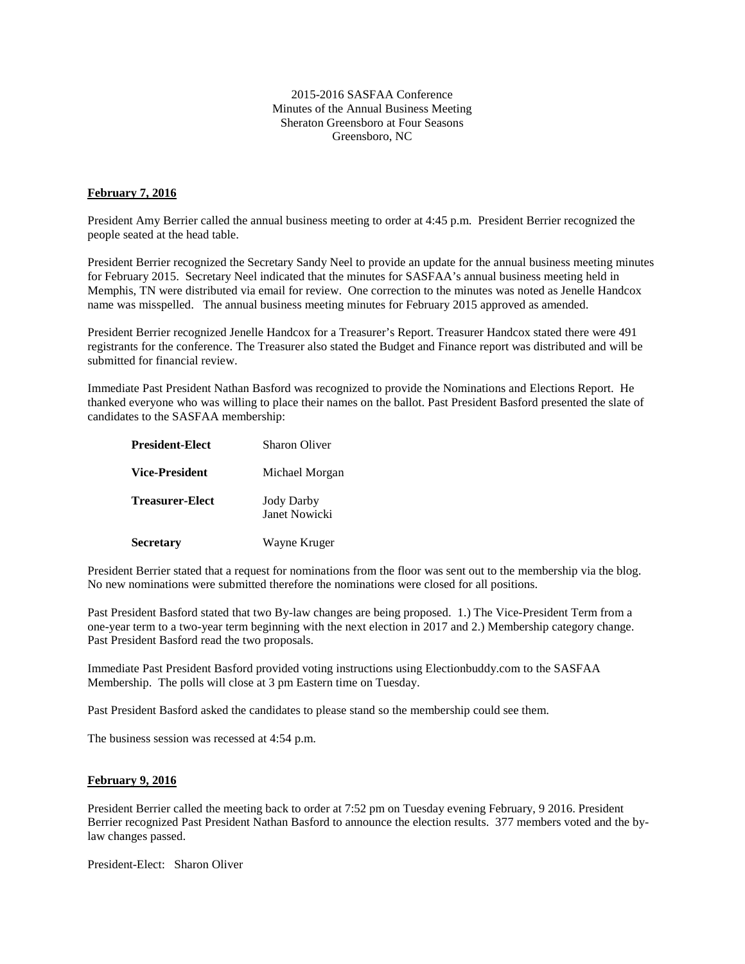2015-2016 SASFAA Conference Minutes of the Annual Business Meeting Sheraton Greensboro at Four Seasons Greensboro, NC

## **February 7, 2016**

President Amy Berrier called the annual business meeting to order at 4:45 p.m. President Berrier recognized the people seated at the head table.

President Berrier recognized the Secretary Sandy Neel to provide an update for the annual business meeting minutes for February 2015. Secretary Neel indicated that the minutes for SASFAA's annual business meeting held in Memphis, TN were distributed via email for review. One correction to the minutes was noted as Jenelle Handcox name was misspelled. The annual business meeting minutes for February 2015 approved as amended.

President Berrier recognized Jenelle Handcox for a Treasurer's Report. Treasurer Handcox stated there were 491 registrants for the conference. The Treasurer also stated the Budget and Finance report was distributed and will be submitted for financial review.

Immediate Past President Nathan Basford was recognized to provide the Nominations and Elections Report. He thanked everyone who was willing to place their names on the ballot. Past President Basford presented the slate of candidates to the SASFAA membership:

| <b>President-Elect</b> | Sharon Oliver                      |
|------------------------|------------------------------------|
| <b>Vice-President</b>  | Michael Morgan                     |
| <b>Treasurer-Elect</b> | <b>Jody Darby</b><br>Janet Nowicki |
| <b>Secretary</b>       | Wayne Kruger                       |

President Berrier stated that a request for nominations from the floor was sent out to the membership via the blog. No new nominations were submitted therefore the nominations were closed for all positions.

Past President Basford stated that two By-law changes are being proposed. 1.) The Vice-President Term from a one-year term to a two-year term beginning with the next election in 2017 and 2.) Membership category change. Past President Basford read the two proposals.

Immediate Past President Basford provided voting instructions using Electionbuddy.com to the SASFAA Membership. The polls will close at 3 pm Eastern time on Tuesday.

Past President Basford asked the candidates to please stand so the membership could see them.

The business session was recessed at 4:54 p.m.

## **February 9, 2016**

President Berrier called the meeting back to order at 7:52 pm on Tuesday evening February, 9 2016. President Berrier recognized Past President Nathan Basford to announce the election results. 377 members voted and the bylaw changes passed.

President-Elect: Sharon Oliver